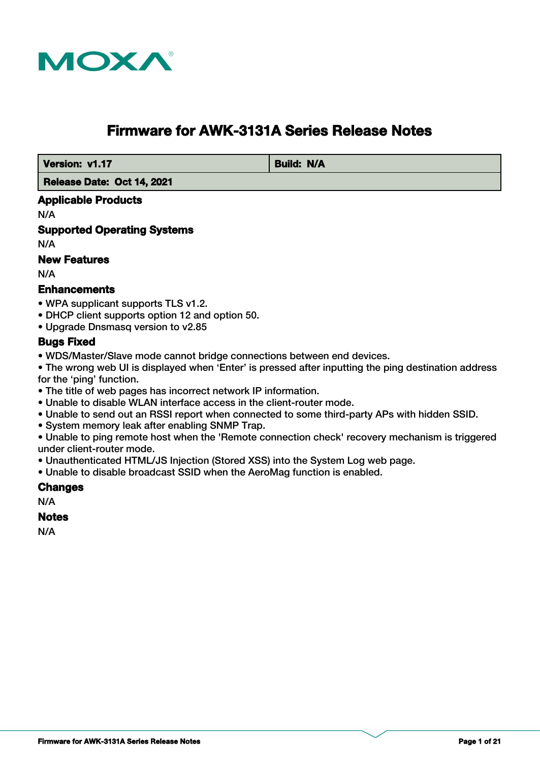

# **Firmware for AWK-3131A Series Release Notes**

*Version: v1.17* **Build: N/A** 

 **Release Date: Oct 14, 2021**

# **Applicable Products**

N/A

**Supported Operating Systems**

N/A

# **New Features**

N/A

# **Enhancements**

- WPA supplicant supports TLS v1.2.
- DHCP client supports option 12 and option 50.
- Upgrade Dnsmasq version to v2.85

# **Bugs Fixed**

- WDS/Master/Slave mode cannot bridge connections between end devices.
- The wrong web UI is displayed when 'Enter' is pressed after inputting the ping destination address

for the 'ping' function.

- The title of web pages has incorrect network IP information.
- Unable to disable WLAN interface access in the client-router mode.
- Unable to send out an RSSI report when connected to some third-party APs with hidden SSID.
- System memory leak after enabling SNMP Trap.
- Unable to ping remote host when the 'Remote connection check' recovery mechanism is triggered under client-router mode.
- Unauthenticated HTML/JS Injection (Stored XSS) into the System Log web page.
- Unable to disable broadcast SSID when the AeroMag function is enabled.

### **Changes**

N/A

### **Notes**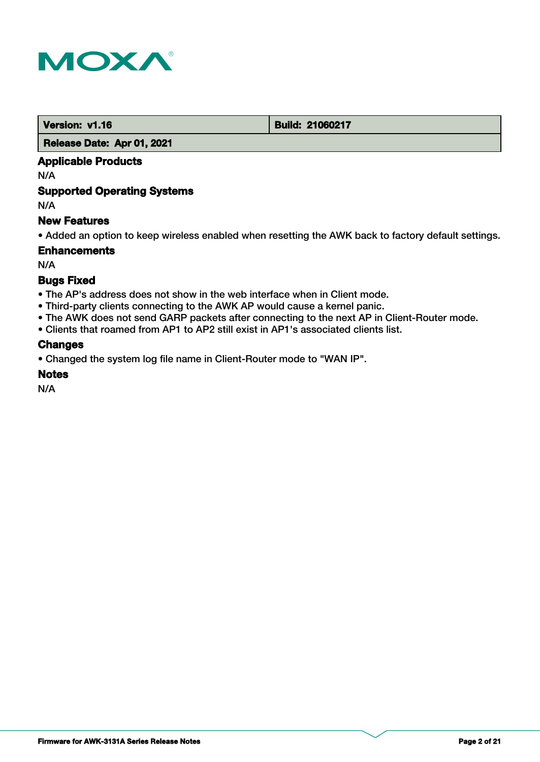

**Version: v1.16 Build: 21060217** 

### **Release Date: Apr 01, 2021**

# **Applicable Products**

N/A

# **Supported Operating Systems**

N/A

# **New Features**

• Added an option to keep wireless enabled when resetting the AWK back to factory default settings.

# **Enhancements**

N/A

# **Bugs Fixed**

- The AP's address does not show in the web interface when in Client mode.
- Third-party clients connecting to the AWK AP would cause a kernel panic.
- The AWK does not send GARP packets after connecting to the next AP in Client-Router mode.
- Clients that roamed from AP1 to AP2 still exist in AP1's associated clients list.

# **Changes**

• Changed the system log file name in Client-Router mode to "WAN IP".

### **Notes**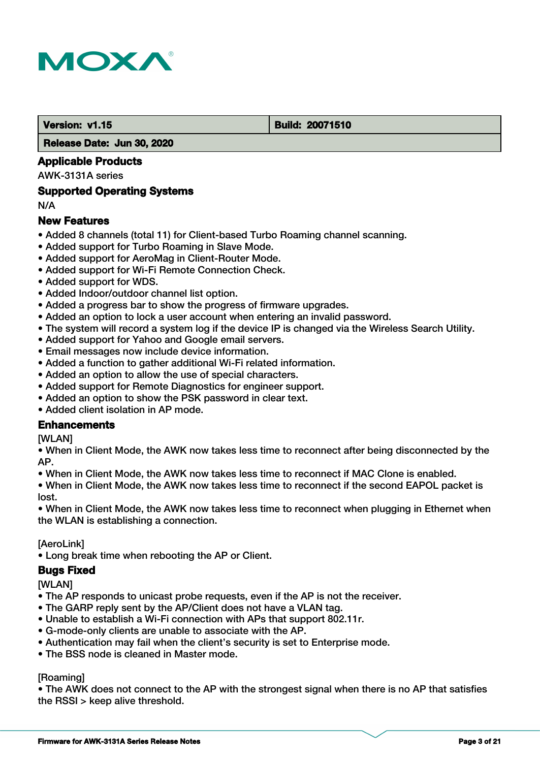

#### **Version: v1.15 Build: 20071510**

 **Release Date: Jun 30, 2020**

# **Applicable Products**

AWK-3131A series

### **Supported Operating Systems**

N/A

# **New Features**

- Added 8 channels (total 11) for Client-based Turbo Roaming channel scanning.
- Added support for Turbo Roaming in Slave Mode.
- Added support for AeroMag in Client-Router Mode.
- Added support for Wi-Fi Remote Connection Check.
- Added support for WDS.
- Added Indoor/outdoor channel list option.
- Added a progress bar to show the progress of firmware upgrades.
- Added an option to lock a user account when entering an invalid password.
- The system will record a system log if the device IP is changed via the Wireless Search Utility.
- Added support for Yahoo and Google email servers.
- Email messages now include device information.
- Added a function to gather additional Wi-Fi related information.
- Added an option to allow the use of special characters.
- Added support for Remote Diagnostics for engineer support.
- Added an option to show the PSK password in clear text.
- Added client isolation in AP mode.

### **Enhancements**

**[WLAN]** 

• When in Client Mode, the AWK now takes less time to reconnect after being disconnected by the AP.

• When in Client Mode, the AWK now takes less time to reconnect if MAC Clone is enabled.

• When in Client Mode, the AWK now takes less time to reconnect if the second EAPOL packet is lost.

• When in Client Mode, the AWK now takes less time to reconnect when plugging in Ethernet when the WLAN is establishing a connection.

[AeroLink]

• Long break time when rebooting the AP or Client.

### **Bugs Fixed**

[WLAN]

• The AP responds to unicast probe requests, even if the AP is not the receiver.

- The GARP reply sent by the AP/Client does not have a VLAN tag.
- Unable to establish a Wi-Fi connection with APs that support 802.11r.
- G-mode-only clients are unable to associate with the AP.
- Authentication may fail when the client's security is set to Enterprise mode.
- The BSS node is cleaned in Master mode.

### [Roaming]

• The AWK does not connect to the AP with the strongest signal when there is no AP that satisfies the RSSI > keep alive threshold.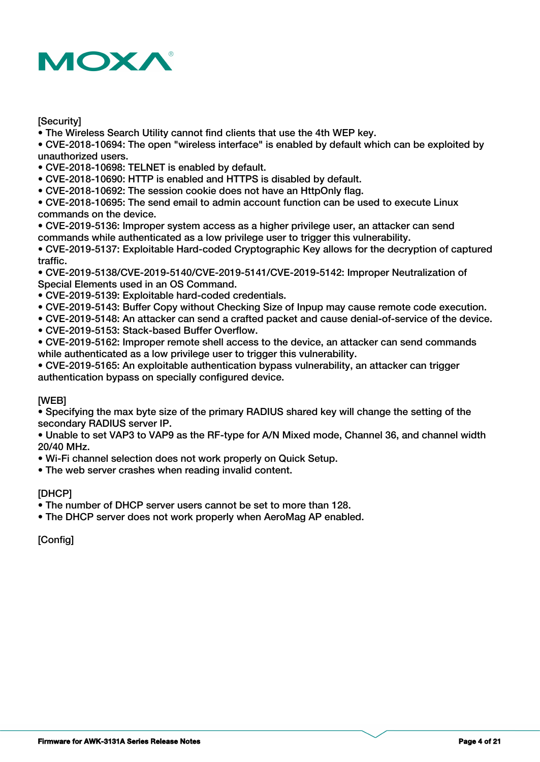

### **[Security]**

• The Wireless Search Utility cannot find clients that use the 4th WEP key.

• CVE-2018-10694: The open "wireless interface" is enabled by default which can be exploited by unauthorized users.

- CVE-2018-10698: TELNET is enabled by default.
- CVE-2018-10690: HTTP is enabled and HTTPS is disabled by default.
- CVE-2018-10692: The session cookie does not have an HttpOnly flag.

• CVE-2018-10695: The send email to admin account function can be used to execute Linux commands on the device.

• CVE-2019-5136: Improper system access as a higher privilege user, an attacker can send commands while authenticated as a low privilege user to trigger this vulnerability.

• CVE-2019-5137: Exploitable Hard-coded Cryptographic Key allows for the decryption of captured traffic.

• CVE-2019-5138/CVE-2019-5140/CVE-2019-5141/CVE-2019-5142: Improper Neutralization of Special Elements used in an OS Command.

• CVE-2019-5139: Exploitable hard-coded credentials.

- CVE-2019-5143: Buffer Copy without Checking Size of Inpup may cause remote code execution.
- CVE-2019-5148: An attacker can send a crafted packet and cause denial-of-service of the device.
- CVE-2019-5153: Stack-based Buffer Overflow.
- CVE-2019-5162: Improper remote shell access to the device, an attacker can send commands while authenticated as a low privilege user to trigger this vulnerability.

• CVE-2019-5165: An exploitable authentication bypass vulnerability, an attacker can trigger authentication bypass on specially configured device.

# [WEB]

• Specifying the max byte size of the primary RADIUS shared key will change the setting of the secondary RADIUS server IP.

• Unable to set VAP3 to VAP9 as the RF-type for A/N Mixed mode, Channel 36, and channel width 20/40 MHz.

• Wi-Fi channel selection does not work properly on Quick Setup.

• The web server crashes when reading invalid content.

### [DHCP]

• The number of DHCP server users cannot be set to more than 128.

• The DHCP server does not work properly when AeroMag AP enabled.

[Config]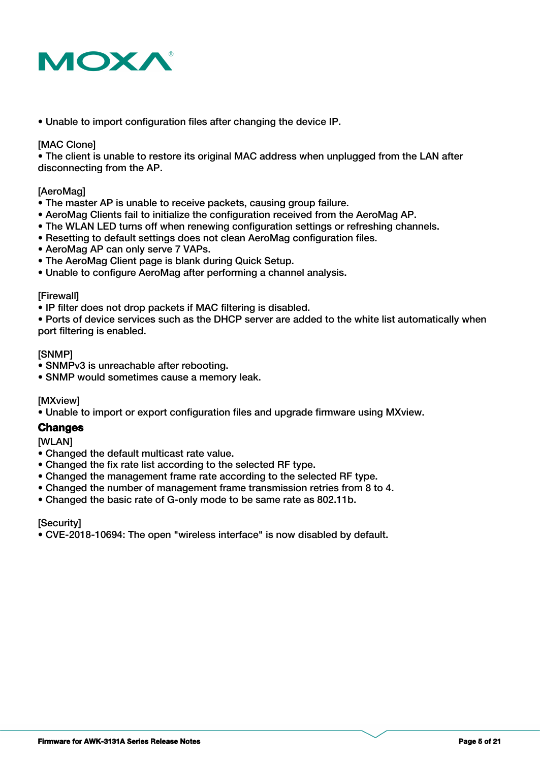

• Unable to import configuration files after changing the device IP.

#### [MAC Clone]

• The client is unable to restore its original MAC address when unplugged from the LAN after disconnecting from the AP.

#### [AeroMag]

- The master AP is unable to receive packets, causing group failure.
- AeroMag Clients fail to initialize the configuration received from the AeroMag AP.
- The WLAN LED turns off when renewing configuration settings or refreshing channels.
- Resetting to default settings does not clean AeroMag configuration files.
- AeroMag AP can only serve 7 VAPs.
- The AeroMag Client page is blank during Quick Setup.
- Unable to configure AeroMag after performing a channel analysis.

#### [Firewall]

• IP filter does not drop packets if MAC filtering is disabled.

• Ports of device services such as the DHCP server are added to the white list automatically when port filtering is enabled.

#### [SNMP]

- SNMPv3 is unreachable after rebooting.
- SNMP would sometimes cause a memory leak.

[MXview]

• Unable to import or export configuration files and upgrade firmware using MXview.

### **Changes**

**[WLAN]** 

- Changed the default multicast rate value.
- Changed the fix rate list according to the selected RF type.
- Changed the management frame rate according to the selected RF type.
- Changed the number of management frame transmission retries from 8 to 4.
- Changed the basic rate of G-only mode to be same rate as 802.11b.

**[Security]** 

• CVE-2018-10694: The open "wireless interface" is now disabled by default.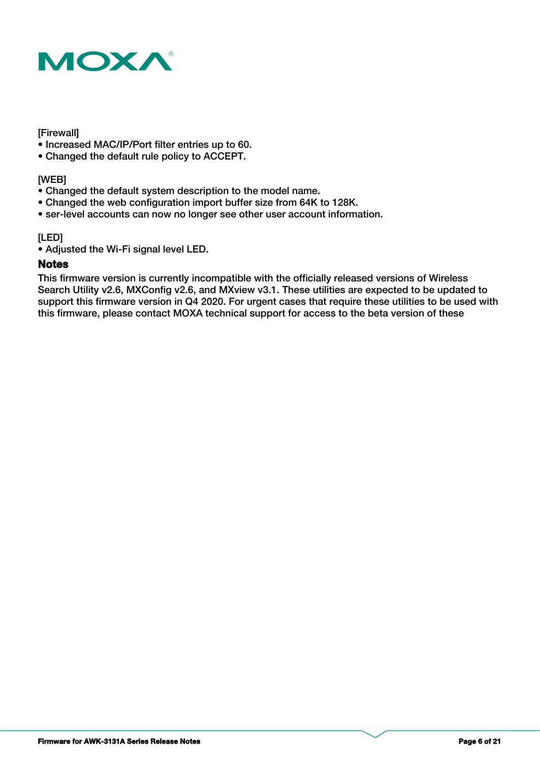

### [Firewall]

- Increased MAC/IP/Port filter entries up to 60.
- Changed the default rule policy to ACCEPT.

# [WEB]

- Changed the default system description to the model name.
- Changed the web configuration import buffer size from 64K to 128K.
- ser-level accounts can now no longer see other user account information.

# [LED]

• Adjusted the Wi-Fi signal level LED.

# **Notes**

This firmware version is currently incompatible with the officially released versions of Wireless Search Utility v2.6, MXConfig v2.6, and MXview v3.1. These utilities are expected to be updated to support this firmware version in Q4 2020. For urgent cases that require these utilities to be used with this firmware, please contact MOXA technical support for access to the beta version of these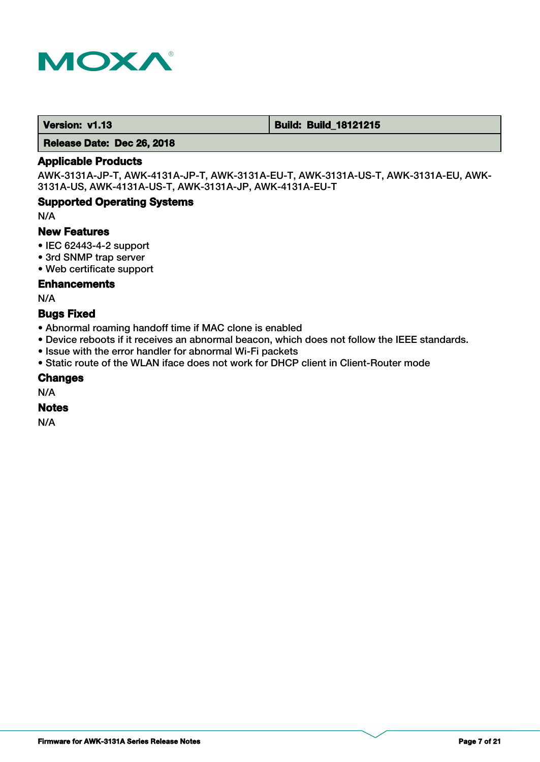

 **Version: v1.13 Build: Build: Build: 18121215** 

 **Release Date: Dec 26, 2018**

# **Applicable Products**

AWK-3131A-JP-T, AWK-4131A-JP-T, AWK-3131A-EU-T, AWK-3131A-US-T, AWK-3131A-EU, AWK-3131A-US, AWK-4131A-US-T, AWK-3131A-JP, AWK-4131A-EU-T

# **Supported Operating Systems**

N/A

# **New Features**

- IEC 62443-4-2 support
- 3rd SNMP trap server
- Web certificate support

### **Enhancements**

N/A

# **Bugs Fixed**

- Abnormal roaming handoff time if MAC clone is enabled
- Device reboots if it receives an abnormal beacon, which does not follow the IEEE standards.
- Issue with the error handler for abnormal Wi-Fi packets
- Static route of the WLAN iface does not work for DHCP client in Client-Router mode

#### **Changes**

N/A

### **Notes**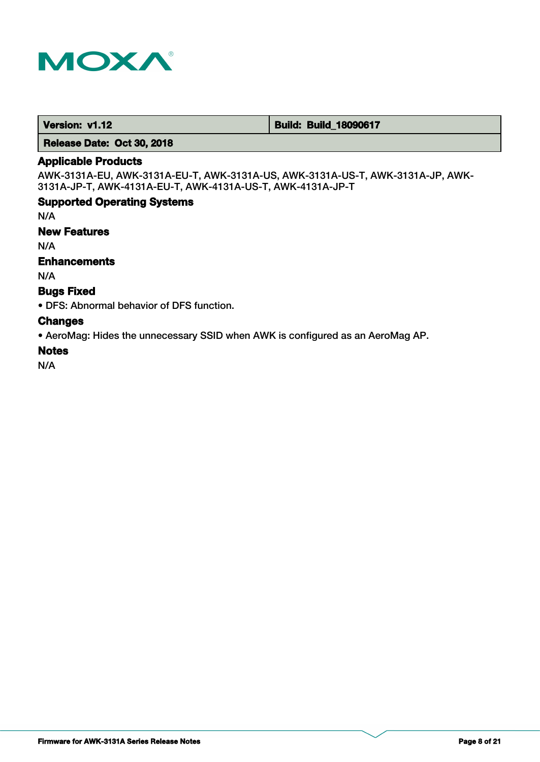

 **Version: v1.12 and version: v1.12 Build: Build: Build: 18090617** 

 **Release Date: Oct 30, 2018**

# **Applicable Products**

AWK-3131A-EU, AWK-3131A-EU-T, AWK-3131A-US, AWK-3131A-US-T, AWK-3131A-JP, AWK-3131A-JP-T, AWK-4131A-EU-T, AWK-4131A-US-T, AWK-4131A-JP-T

# **Supported Operating Systems**

N/A

### **New Features**

N/A

# **Enhancements**

N/A

# **Bugs Fixed**

• DFS: Abnormal behavior of DFS function.

# **Changes**

• AeroMag: Hides the unnecessary SSID when AWK is configured as an AeroMag AP.

# **Notes**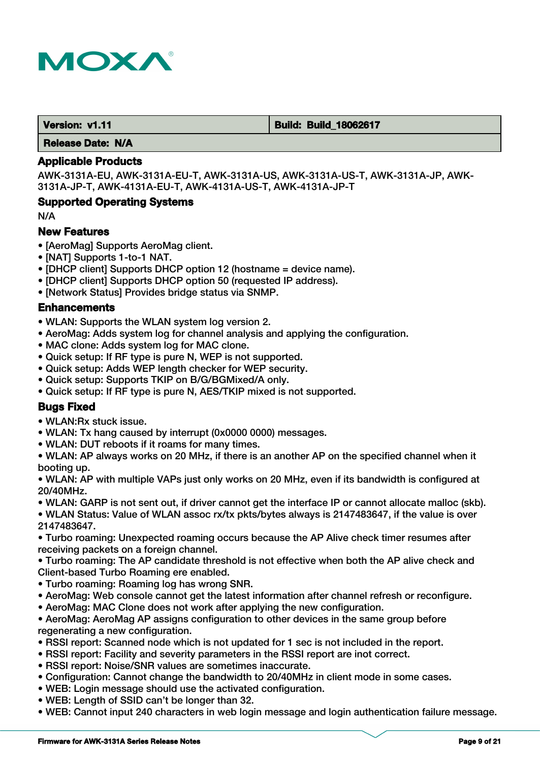

 **Version: v1.11 <b>Build: Build: Build: 18062617** 

 **Release Date: N/A**

# **Applicable Products**

AWK-3131A-EU, AWK-3131A-EU-T, AWK-3131A-US, AWK-3131A-US-T, AWK-3131A-JP, AWK-3131A-JP-T, AWK-4131A-EU-T, AWK-4131A-US-T, AWK-4131A-JP-T

# **Supported Operating Systems**

N/A

### **New Features**

- [AeroMag] Supports AeroMag client.
- [NAT] Supports 1-to-1 NAT.
- [DHCP client] Supports DHCP option 12 (hostname = device name).
- [DHCP client] Supports DHCP option 50 (requested IP address).
- [Network Status] Provides bridge status via SNMP.

# **Enhancements**

- WLAN: Supports the WLAN system log version 2.
- AeroMag: Adds system log for channel analysis and applying the configuration.
- MAC clone: Adds system log for MAC clone.
- Quick setup: If RF type is pure N, WEP is not supported.
- Quick setup: Adds WEP length checker for WEP security.
- Quick setup: Supports TKIP on B/G/BGMixed/A only.
- Quick setup: If RF type is pure N, AES/TKIP mixed is not supported.

# **Bugs Fixed**

- WLAN:Rx stuck issue.
- WLAN: Tx hang caused by interrupt (0x0000 0000) messages.
- WLAN: DUT reboots if it roams for many times.

• WLAN: AP always works on 20 MHz, if there is an another AP on the specified channel when it booting up.

• WLAN: AP with multiple VAPs just only works on 20 MHz, even if its bandwidth is configured at 20/40MHz.

• WLAN: GARP is not sent out, if driver cannot get the interface IP or cannot allocate malloc (skb).

• WLAN Status: Value of WLAN assoc rx/tx pkts/bytes always is 2147483647, if the value is over 2147483647.

• Turbo roaming: Unexpected roaming occurs because the AP Alive check timer resumes after receiving packets on a foreign channel.

• Turbo roaming: The AP candidate threshold is not effective when both the AP alive check and Client-based Turbo Roaming ere enabled.

- Turbo roaming: Roaming log has wrong SNR.
- AeroMag: Web console cannot get the latest information after channel refresh or reconfigure.
- AeroMag: MAC Clone does not work after applying the new configuration.

• AeroMag: AeroMag AP assigns configuration to other devices in the same group before regenerating a new configuration.

- RSSI report: Scanned node which is not updated for 1 sec is not included in the report.
- RSSI report: Facility and severity parameters in the RSSI report are inot correct.
- RSSI report: Noise/SNR values are sometimes inaccurate.
- Configuration: Cannot change the bandwidth to 20/40MHz in client mode in some cases.
- WEB: Login message should use the activated configuration.
- WEB: Length of SSID can't be longer than 32.
- WEB: Cannot input 240 characters in web login message and login authentication failure message.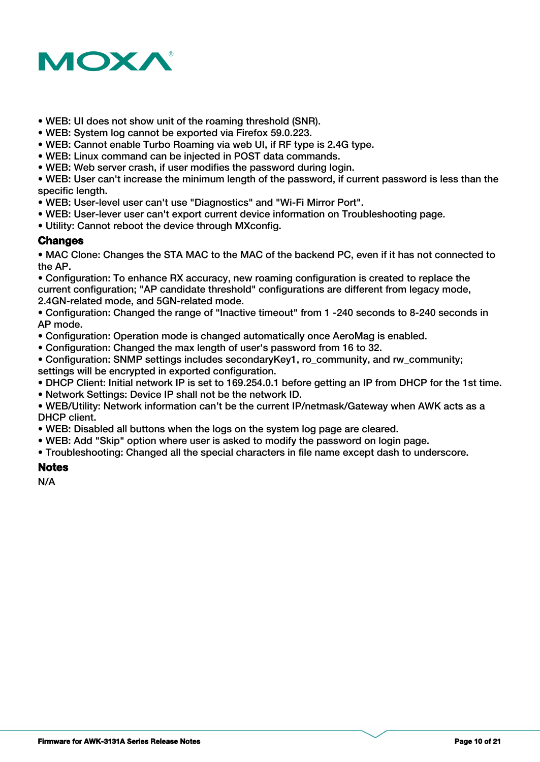

- WEB: UI does not show unit of the roaming threshold (SNR).
- WEB: System log cannot be exported via Firefox 59.0.223.
- WEB: Cannot enable Turbo Roaming via web UI, if RF type is 2.4G type.
- WEB: Linux command can be injected in POST data commands.
- WEB: Web server crash, if user modifies the password during login.

• WEB: User can't increase the minimum length of the password, if current password is less than the specific length.

- WEB: User-level user can't use "Diagnostics" and "Wi-Fi Mirror Port".
- WEB: User-lever user can't export current device information on Troubleshooting page.
- Utility: Cannot reboot the device through MXconfig.

# **Changes**

• MAC Clone: Changes the STA MAC to the MAC of the backend PC, even if it has not connected to the AP.

• Configuration: To enhance RX accuracy, new roaming configuration is created to replace the current configuration; "AP candidate threshold" configurations are different from legacy mode, 2.4GN-related mode, and 5GN-related mode.

• Configuration: Changed the range of "Inactive timeout" from 1 -240 seconds to 8-240 seconds in AP mode.

- Configuration: Operation mode is changed automatically once AeroMag is enabled.
- Configuration: Changed the max length of user's password from 16 to 32.

• Configuration: SNMP settings includes secondaryKey1, ro\_community, and rw\_community; settings will be encrypted in exported configuration.

- DHCP Client: Initial network IP is set to 169.254.0.1 before getting an IP from DHCP for the 1st time.
- Network Settings: Device IP shall not be the network ID.
- WEB/Utility: Network information can't be the current IP/netmask/Gateway when AWK acts as a DHCP client.
- WEB: Disabled all buttons when the logs on the system log page are cleared.
- WEB: Add "Skip" option where user is asked to modify the password on login page.
- Troubleshooting: Changed all the special characters in file name except dash to underscore.

### **Notes**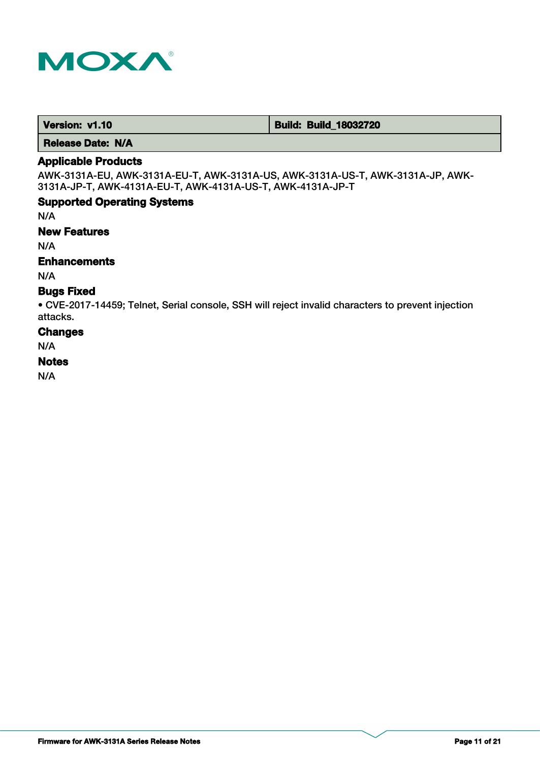

 **Version: v1.10 Build: Build: Build: 18032720** 

 **Release Date: N/A**

# **Applicable Products**

AWK-3131A-EU, AWK-3131A-EU-T, AWK-3131A-US, AWK-3131A-US-T, AWK-3131A-JP, AWK-3131A-JP-T, AWK-4131A-EU-T, AWK-4131A-US-T, AWK-4131A-JP-T

# **Supported Operating Systems**

N/A

### **New Features**

N/A

# **Enhancements**

N/A

# **Bugs Fixed**

• CVE-2017-14459; Telnet, Serial console, SSH will reject invalid characters to prevent injection attacks.

# **Changes**

N/A

### **Notes**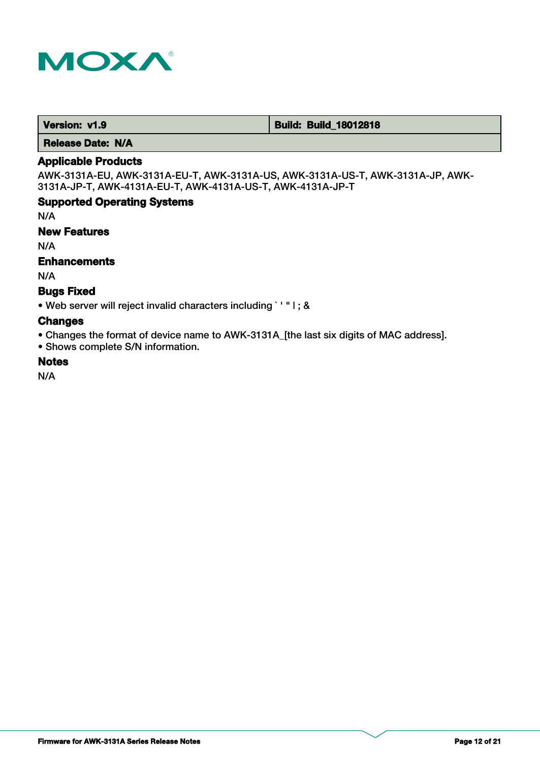

 **Version: v1.9 Build: Build: Build: Build: 18012818** 

 **Release Date: N/A**

# **Applicable Products**

AWK-3131A-EU, AWK-3131A-EU-T, AWK-3131A-US, AWK-3131A-US-T, AWK-3131A-JP, AWK-3131A-JP-T, AWK-4131A-EU-T, AWK-4131A-US-T, AWK-4131A-JP-T

# **Supported Operating Systems**

N/A

### **New Features**

N/A

# **Enhancements**

N/A

# **Bugs Fixed**

• Web server will reject invalid characters including ` ' " | ; &

# **Changes**

• Changes the format of device name to AWK-3131A\_[the last six digits of MAC address].

• Shows complete S/N information.

# **Notes**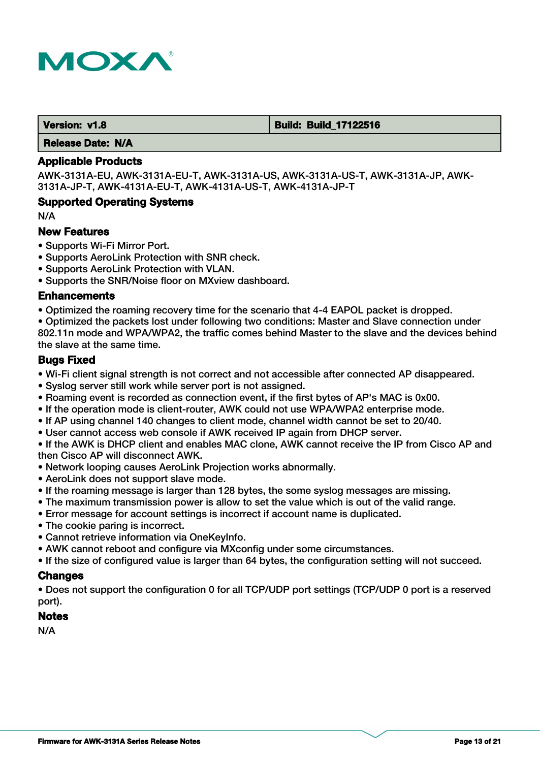

 **Version: v1.8 Build: Build: Build: Build: 17122516** 

 **Release Date: N/A**

### **Applicable Products**

AWK-3131A-EU, AWK-3131A-EU-T, AWK-3131A-US, AWK-3131A-US-T, AWK-3131A-JP, AWK-3131A-JP-T, AWK-4131A-EU-T, AWK-4131A-US-T, AWK-4131A-JP-T

# **Supported Operating Systems**

N/A

### **New Features**

- Supports Wi-Fi Mirror Port.
- Supports AeroLink Protection with SNR check.
- Supports AeroLink Protection with VLAN.
- Supports the SNR/Noise floor on MXview dashboard.

### **Enhancements**

• Optimized the roaming recovery time for the scenario that 4-4 EAPOL packet is dropped.

• Optimized the packets lost under following two conditions: Master and Slave connection under 802.11n mode and WPA/WPA2, the traffic comes behind Master to the slave and the devices behind the slave at the same time.

# **Bugs Fixed**

- Wi-Fi client signal strength is not correct and not accessible after connected AP disappeared.
- Syslog server still work while server port is not assigned.
- Roaming event is recorded as connection event, if the first bytes of AP's MAC is 0x00.
- If the operation mode is client-router, AWK could not use WPA/WPA2 enterprise mode.
- If AP using channel 140 changes to client mode, channel width cannot be set to 20/40.
- User cannot access web console if AWK received IP again from DHCP server.

• If the AWK is DHCP client and enables MAC clone, AWK cannot receive the IP from Cisco AP and then Cisco AP will disconnect AWK.

- Network looping causes AeroLink Projection works abnormally.
- AeroLink does not support slave mode.
- If the roaming message is larger than 128 bytes, the some syslog messages are missing.
- The maximum transmission power is allow to set the value which is out of the valid range.
- Error message for account settings is incorrect if account name is duplicated.
- The cookie paring is incorrect.
- Cannot retrieve information via OneKeyInfo.
- AWK cannot reboot and configure via MXconfig under some circumstances.
- If the size of configured value is larger than 64 bytes, the configuration setting will not succeed.

### **Changes**

• Does not support the configuration 0 for all TCP/UDP port settings (TCP/UDP 0 port is a reserved port).

### **Notes**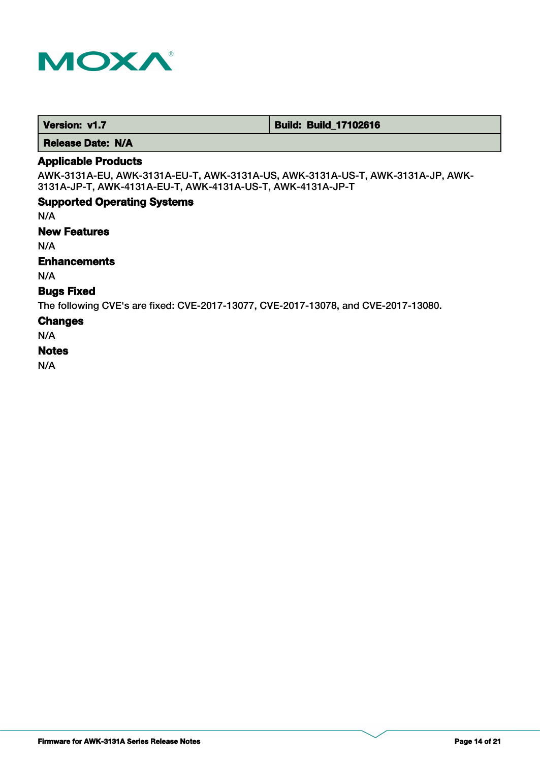

 **Version: v1.7 1.7 Build: Build: Build\_17102616** 

 **Release Date: N/A**

# **Applicable Products**

AWK-3131A-EU, AWK-3131A-EU-T, AWK-3131A-US, AWK-3131A-US-T, AWK-3131A-JP, AWK-3131A-JP-T, AWK-4131A-EU-T, AWK-4131A-US-T, AWK-4131A-JP-T

# **Supported Operating Systems**

N/A

### **New Features**

N/A

# **Enhancements**

N/A

# **Bugs Fixed**

The following CVE's are fixed: CVE-2017-13077, CVE-2017-13078, and CVE-2017-13080.

#### **Changes**

N/A

### **Notes**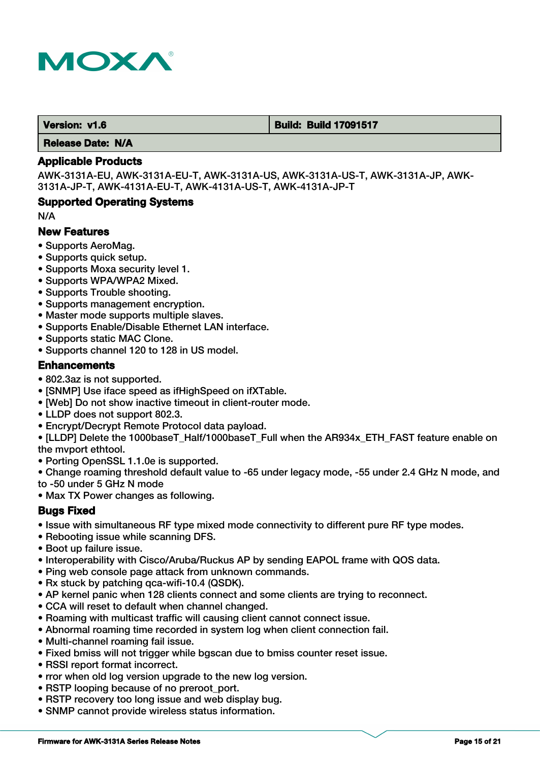

 **Version: v1.6 Build: Build: Build 17091517** 

 **Release Date: N/A**

### **Applicable Products**

AWK-3131A-EU, AWK-3131A-EU-T, AWK-3131A-US, AWK-3131A-US-T, AWK-3131A-JP, AWK-3131A-JP-T, AWK-4131A-EU-T, AWK-4131A-US-T, AWK-4131A-JP-T

# **Supported Operating Systems**

N/A

# **New Features**

- Supports AeroMag.
- Supports quick setup.
- Supports Moxa security level 1.
- Supports WPA/WPA2 Mixed.
- Supports Trouble shooting.
- Supports management encryption.
- Master mode supports multiple slaves.
- Supports Enable/Disable Ethernet LAN interface.
- Supports static MAC Clone.
- Supports channel 120 to 128 in US model.

# **Enhancements**

- 802.3az is not supported.
- [SNMP] Use iface speed as ifHighSpeed on ifXTable.
- [Web] Do not show inactive timeout in client-router mode.
- LLDP does not support 802.3.
- Encrypt/Decrypt Remote Protocol data payload.

• [LLDP] Delete the 1000baseT\_Half/1000baseT\_Full when the AR934x\_ETH\_FAST feature enable on the mvport ethtool.

- Porting OpenSSL 1.1.0e is supported.
- Change roaming threshold default value to -65 under legacy mode, -55 under 2.4 GHz N mode, and to -50 under 5 GHz N mode
- Max TX Power changes as following.

# **Bugs Fixed**

- Issue with simultaneous RF type mixed mode connectivity to different pure RF type modes.
- Rebooting issue while scanning DFS.
- Boot up failure issue.
- Interoperability with Cisco/Aruba/Ruckus AP by sending EAPOL frame with QOS data.
- Ping web console page attack from unknown commands.
- Rx stuck by patching qca-wifi-10.4 (QSDK).
- AP kernel panic when 128 clients connect and some clients are trying to reconnect.
- CCA will reset to default when channel changed.
- Roaming with multicast traffic will causing client cannot connect issue.
- Abnormal roaming time recorded in system log when client connection fail.
- Multi-channel roaming fail issue.
- Fixed bmiss will not trigger while bgscan due to bmiss counter reset issue.
- RSSI report format incorrect.
- rror when old log version upgrade to the new log version.
- RSTP looping because of no preroot port.
- RSTP recovery too long issue and web display bug.
- SNMP cannot provide wireless status information.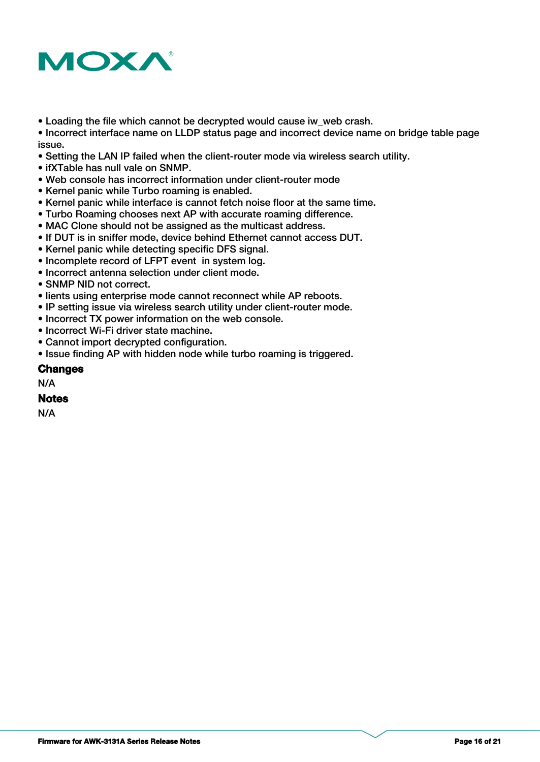

• Loading the file which cannot be decrypted would cause iw web crash.

• Incorrect interface name on LLDP status page and incorrect device name on bridge table page issue.

- Setting the LAN IP failed when the client-router mode via wireless search utility.
- ifXTable has null vale on SNMP.
- Web console has incorrect information under client-router mode
- Kernel panic while Turbo roaming is enabled.
- Kernel panic while interface is cannot fetch noise floor at the same time.
- Turbo Roaming chooses next AP with accurate roaming difference.
- MAC Clone should not be assigned as the multicast address.
- If DUT is in sniffer mode, device behind Ethernet cannot access DUT.
- Kernel panic while detecting specific DFS signal.
- Incomplete record of LFPT event in system log.
- Incorrect antenna selection under client mode.
- SNMP NID not correct.
- lients using enterprise mode cannot reconnect while AP reboots.
- IP setting issue via wireless search utility under client-router mode.
- Incorrect TX power information on the web console.
- Incorrect Wi-Fi driver state machine.
- Cannot import decrypted configuration.
- Issue finding AP with hidden node while turbo roaming is triggered.

### **Changes**

N/A

### **Notes**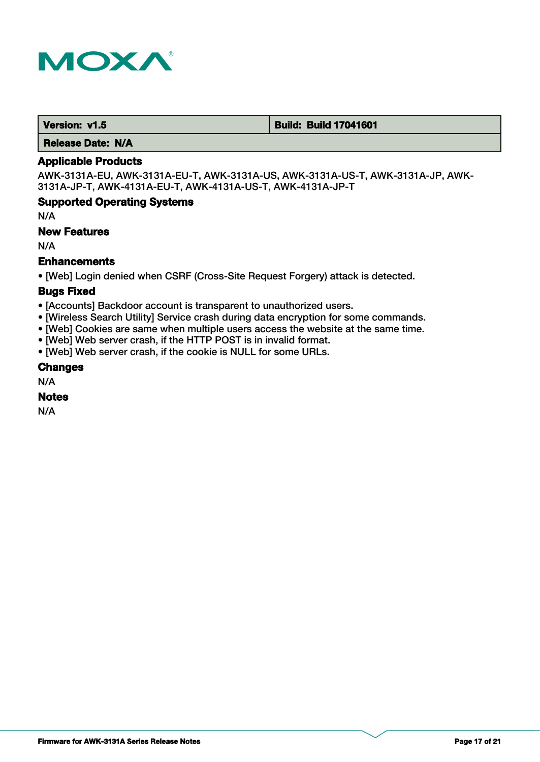

 **Version: v1.5 Build: Build: Build 17041601** 

 **Release Date: N/A**

# **Applicable Products**

AWK-3131A-EU, AWK-3131A-EU-T, AWK-3131A-US, AWK-3131A-US-T, AWK-3131A-JP, AWK-3131A-JP-T, AWK-4131A-EU-T, AWK-4131A-US-T, AWK-4131A-JP-T

# **Supported Operating Systems**

N/A

### **New Features**

N/A

# **Enhancements**

• [Web] Login denied when CSRF (Cross-Site Request Forgery) attack is detected.

# **Bugs Fixed**

- [Accounts] Backdoor account is transparent to unauthorized users.
- [Wireless Search Utility] Service crash during data encryption for some commands.
- [Web] Cookies are same when multiple users access the website at the same time.
- [Web] Web server crash, if the HTTP POST is in invalid format.
- [Web] Web server crash, if the cookie is NULL for some URLs.

### **Changes**

N/A

# **Notes**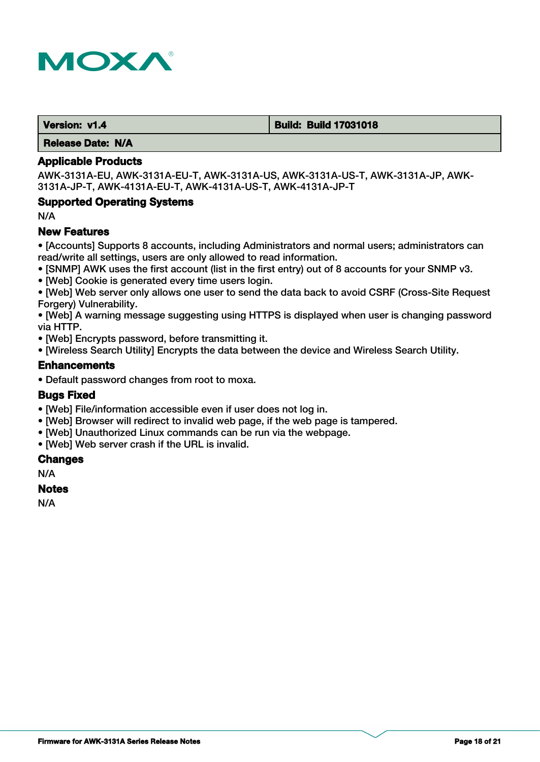

 **Version: v1.4 Build: Build 17031018**

 **Release Date: N/A**

### **Applicable Products**

AWK-3131A-EU, AWK-3131A-EU-T, AWK-3131A-US, AWK-3131A-US-T, AWK-3131A-JP, AWK-3131A-JP-T, AWK-4131A-EU-T, AWK-4131A-US-T, AWK-4131A-JP-T

# **Supported Operating Systems**

N/A

# **New Features**

• [Accounts] Supports 8 accounts, including Administrators and normal users; administrators can read/write all settings, users are only allowed to read information.

- [SNMP] AWK uses the first account (list in the first entry) out of 8 accounts for your SNMP v3.
- [Web] Cookie is generated every time users login.

• [Web] Web server only allows one user to send the data back to avoid CSRF (Cross-Site Request Forgery) Vulnerability.

• [Web] A warning message suggesting using HTTPS is displayed when user is changing password via HTTP.

- [Web] Encrypts password, before transmitting it.
- [Wireless Search Utility] Encrypts the data between the device and Wireless Search Utility.

### **Enhancements**

• Default password changes from root to moxa.

### **Bugs Fixed**

- [Web] File/information accessible even if user does not log in.
- [Web] Browser will redirect to invalid web page, if the web page is tampered.
- [Web] Unauthorized Linux commands can be run via the webpage.
- [Web] Web server crash if the URL is invalid.

#### **Changes**

N/A

### **Notes**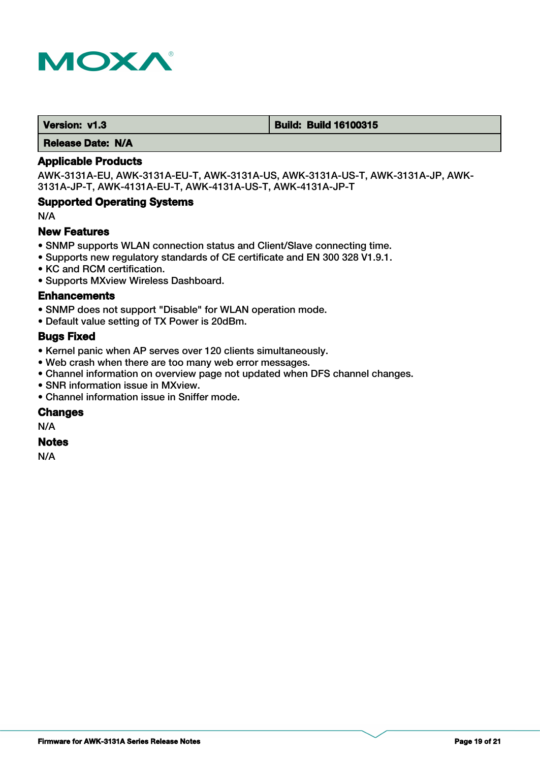

 **Version: v1.3 Build: Build: Build 16100315** 

 **Release Date: N/A**

# **Applicable Products**

AWK-3131A-EU, AWK-3131A-EU-T, AWK-3131A-US, AWK-3131A-US-T, AWK-3131A-JP, AWK-3131A-JP-T, AWK-4131A-EU-T, AWK-4131A-US-T, AWK-4131A-JP-T

### **Supported Operating Systems**

N/A

# **New Features**

- SNMP supports WLAN connection status and Client/Slave connecting time.
- Supports new regulatory standards of CE certificate and EN 300 328 V1.9.1.
- KC and RCM certification.
- Supports MXview Wireless Dashboard.

### **Enhancements**

- SNMP does not support "Disable" for WLAN operation mode.
- Default value setting of TX Power is 20dBm.

# **Bugs Fixed**

- Kernel panic when AP serves over 120 clients simultaneously.
- Web crash when there are too many web error messages.
- Channel information on overview page not updated when DFS channel changes.
- SNR information issue in MXview.
- Channel information issue in Sniffer mode.

#### **Changes**

N/A

#### **Notes**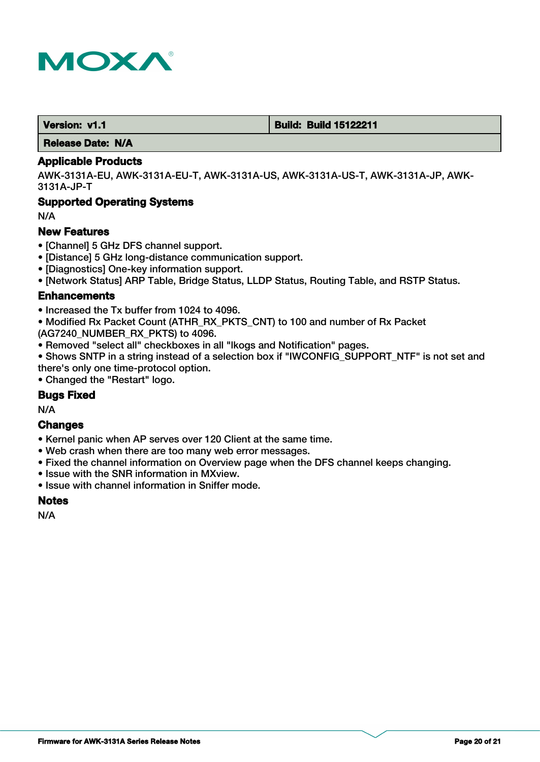

 **Version: v1.1 Build: Build 15122211**

 **Release Date: N/A**

### **Applicable Products**

AWK-3131A-EU, AWK-3131A-EU-T, AWK-3131A-US, AWK-3131A-US-T, AWK-3131A-JP, AWK-3131A-JP-T

# **Supported Operating Systems**

N/A

# **New Features**

- [Channel] 5 GHz DFS channel support.
- [Distance] 5 GHz long-distance communication support.
- [Diagnostics] One-key information support.
- [Network Status] ARP Table, Bridge Status, LLDP Status, Routing Table, and RSTP Status.

# **Enhancements**

- Increased the Tx buffer from 1024 to 4096.
- Modified Rx Packet Count (ATHR\_RX\_PKTS\_CNT) to 100 and number of Rx Packet (AG7240\_NUMBER\_RX\_PKTS) to 4096.
- Removed "select all" checkboxes in all "lkogs and Notification" pages.
- Shows SNTP in a string instead of a selection box if "IWCONFIG SUPPORT NTF" is not set and there's only one time-protocol option.
- Changed the "Restart" logo.

# **Bugs Fixed**

N/A

# **Changes**

- Kernel panic when AP serves over 120 Client at the same time.
- Web crash when there are too many web error messages.
- Fixed the channel information on Overview page when the DFS channel keeps changing.
- Issue with the SNR information in MXview.
- Issue with channel information in Sniffer mode.

### **Notes**